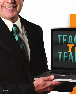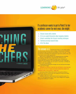



**COLLEGE** 

## If a professor wants to get to Point X in her academic career by next year, she might :

- a. Discuss issues with a mentor
- b. Sit in on a panel discussion about engaging students
- c. Attend a workshop that dissects teaching techniques
- Continue pursuing research ideas
- e. All of the above

The answer is E. And the lack of time in a day helps explain why the business school has built a strategy of development instead of just putting an idea out there for the professor to do on her own – IF she has the time, IF she believes the development opportunity speaks to her, and IF she doesn't have another appointment.

Ideas of how to develop faculty are changing because universities are changing, noted Jeff Tanner, associate dean of Research and Faculty Development. The changes tilt toward career orientation and forging paths that professors can travel efficiently, he said. Although a professor's upward mobility may not result in a new title, it will likely be evident in new responsibilities.

Complicating and helping the changes are new teaching technologies and a new kind of student.

"Millennials are different in how they learn and interact, and we have new tools that we use to do our research. The faculty realized they needed to do something in order to stay up with it," Tanner said.

Associate professor Blaine McCormick is among the professors learning new ways to communicate with students by using social media and a regular blog but not e-mail.

"Students today don't read e-mail as much as previous years," he said. "It's a new generational gap. In fact, some colleges have stopped issuing e-mail addresses to students."